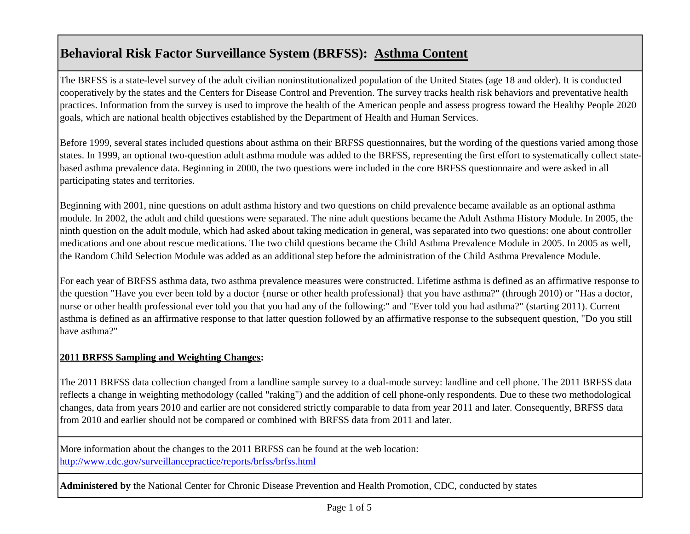# **Behavioral Risk Factor Surveillance System (BRFSS): Asthma Content**

The BRFSS is a state-level survey of the adult civilian noninstitutionalized population of the United States (age 18 and older). It is conducted cooperatively by the states and the Centers for Disease Control and Prevention. The survey tracks health risk behaviors and preventative health practices. Information from the survey is used to improve the health of the American people and assess progress toward the Healthy People 2020 goals, which are national health objectives established by the Department of Health and Human Services.

Before 1999, several states included questions about asthma on their BRFSS questionnaires, but the wording of the questions varied among those states. In 1999, an optional two-question adult asthma module was added to the BRFSS, representing the first effort to systematically collect statebased asthma prevalence data. Beginning in 2000, the two questions were included in the core BRFSS questionnaire and were asked in all participating states and territories.

Beginning with 2001, nine questions on adult asthma history and two questions on child prevalence became available as an optional asthma module. In 2002, the adult and child questions were separated. The nine adult questions became the Adult Asthma History Module. In 2005, the ninth question on the adult module, which had asked about taking medication in general, was separated into two questions: one about controller medications and one about rescue medications. The two child questions became the Child Asthma Prevalence Module in 2005. In 2005 as well, the Random Child Selection Module was added as an additional step before the administration of the Child Asthma Prevalence Module.

For each year of BRFSS asthma data, two asthma prevalence measures were constructed. Lifetime asthma is defined as an affirmative response to the question "Have you ever been told by a doctor {nurse or other health professional} that you have asthma?" (through 2010) or "Has a doctor, nurse or other health professional ever told you that you had any of the following:" and "Ever told you had asthma?" (starting 2011). Current asthma is defined as an affirmative response to that latter question followed by an affirmative response to the subsequent question, "Do you still have asthma?"

## **2011 BRFSS Sampling and Weighting Changes:**

The 2011 BRFSS data collection changed from a landline sample survey to a dual-mode survey: landline and cell phone. The 2011 BRFSS data reflects a change in weighting methodology (called "raking") and the addition of cell phone-only respondents. Due to these two methodological changes, data from years 2010 and earlier are not considered strictly comparable to data from year 2011 and later. Consequently, BRFSS data from 2010 and earlier should not be compared or combined with BRFSS data from 2011 and later.

[More information about the changes to the 2011 BRFSS can be found at the web location:](http://www.cdc.gov/surveillancepractice/reports/brfss/brfss.html)  <http://www.cdc.gov/surveillancepractice/reports/brfss/brfss.html>

**Administered by** the National Center for Chronic Disease Prevention and Health Promotion, CDC, conducted by states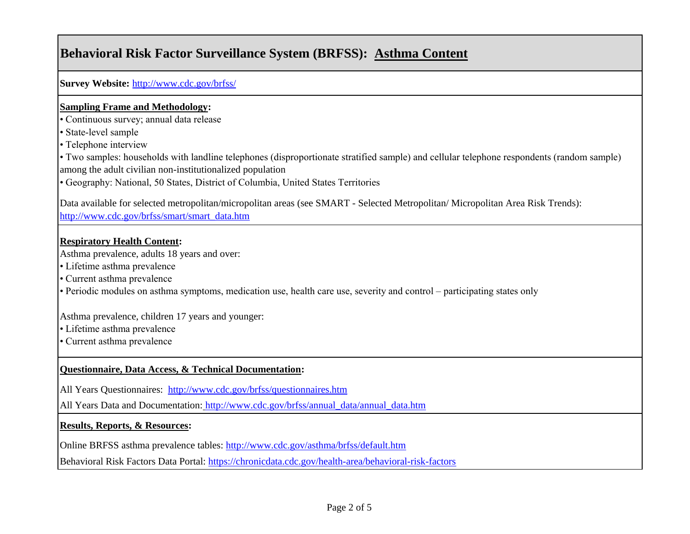# **Behavioral Risk Factor Surveillance System (BRFSS): Asthma Content**

**[Survey Website:](http://www.cdc.gov/brfss/)** <http://www.cdc.gov/brfss/>

#### **Sampling Frame and Methodology:**

• Continuous survey; annual data release

• State-level sample

• Telephone interview

• Two samples: households with landline telephones (disproportionate stratified sample) and cellular telephone respondents (random sample) among the adult civilian non-institutionalized population

• Geography: National, 50 States, District of Columbia, United States Territories

[Data available for selected metropolitan/micropolitan areas \(see SMART - Selected Metropolitan/ Micropolitan Area Risk Trends\):](http://www.cdc.gov/brfss/smart/smart_data.htm)  [http://www.cdc.gov/brfss/smart/smart\\_data.htm](http://www.cdc.gov/brfss/smart/smart_data.htm)

### **Respiratory Health Content:**

Asthma prevalence, adults 18 years and over:

• Lifetime asthma prevalence

• Current asthma prevalence

• Periodic modules on asthma symptoms, medication use, health care use, severity and control – participating states only

Asthma prevalence, children 17 years and younger:

• Lifetime asthma prevalence

• Current asthma prevalence

## **Questionnaire, Data Access, & Technical Documentation:**

[All Years Questionnaires: http://www.cdc.gov/brfss/questionnaires.htm](http://www.cdc.gov/brfss/questionnaires.htm)

[All Years Data and Documentation:](http://www.cdc.gov/brfss/annual_data/annual_data.htm) [http://www.cdc.gov/brfss/annual\\_data/annual\\_data.htm](http://www.cdc.gov/brfss/annual_data/annual_data.htm)

### **Results, Reports, & Resources:**

[Online BRFSS asthma prevalence tables:](http://www.cdc.gov/asthma/brfss/default.htm) <http://www.cdc.gov/asthma/brfss/default.htm>

[Behavioral Risk Factors Data Portal: https://chronicdata.cdc.gov/health-area/behavioral-risk-factors](https://chronicdata.cdc.gov/health-area/behavioral-risk-factors)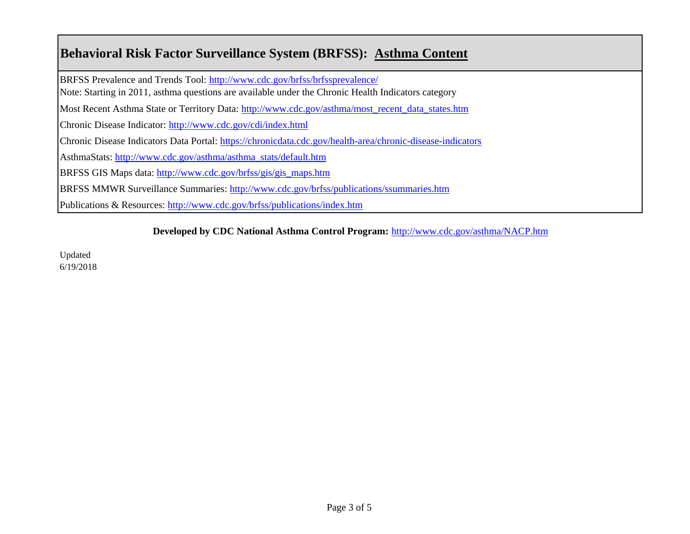# **Behavioral Risk Factor Surveillance System (BRFSS): Asthma Content**

[BRFSS Prevalence and Trends Tool:](http://www.cdc.gov/brfss/brfssprevalence/) <http://www.cdc.gov/brfss/brfssprevalence/>

[Note: Starting in 2011, asthma questions are available under the Chronic Health Indicators category](http://www.cdc.gov/brfss/brfssprevalence/)

[Most Recent Asthma State or Territory Data: http://www.cdc.gov/asthma/most\\_recent\\_data\\_states.htm](http://www.cdc.gov/asthma/most_recent_data_states.htm)

[Chronic Disease Indicator: http://www.cdc.gov/cdi/index.html](http://www.cdc.gov/cdi/index.html)

[Chronic Disease Indicators Data Portal: https://chronicdata.cdc.gov/health-area/chronic-disease-indicators](https://chronicdata.cdc.gov/health-area/chronic-disease-indicators)

[AsthmaStats: http://www.cdc.gov/asthma/asthma\\_stats/default.htm](http://www.cdc.gov/asthma/asthma_stats/default.htm)

[BRFSS GIS Maps data: http://www.cdc.gov/brfss/gis/gis\\_maps.htm](http://www.cdc.gov/brfss/gis/gis_maps.htm)

[BRFSS MMWR Surveillance Summaries: http://www.cdc.gov/brfss/publications/ssummaries.htm](http://www.cdc.gov/brfss/publications/ssummaries.htm)

[Publications & Resources: http://www.cdc.gov/brfss/publications/index.htm](http://www.cdc.gov/brfss/publications/index.htm)

### **[Developed by CDC National Asthma Control Program:](http://www.cdc.gov/asthma/NACP.htm)** <http://www.cdc.gov/asthma/NACP.htm>

Updated 6/19/2018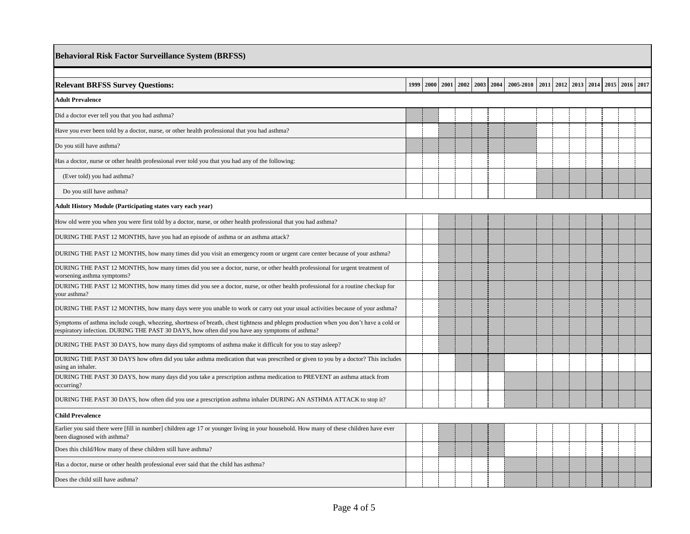| <b>Behavioral Risk Factor Surveillance System (BRFSS)</b>                                                                                                                                                                              |      |  |  |  |  |  |                                    |  |  |  |                                    |  |  |
|----------------------------------------------------------------------------------------------------------------------------------------------------------------------------------------------------------------------------------------|------|--|--|--|--|--|------------------------------------|--|--|--|------------------------------------|--|--|
|                                                                                                                                                                                                                                        |      |  |  |  |  |  |                                    |  |  |  |                                    |  |  |
| <b>Relevant BRFSS Survey Questions:</b>                                                                                                                                                                                                | 1999 |  |  |  |  |  | 2000 2001 2002 2003 2004 2005 2010 |  |  |  | 2011 2012 2013 2014 2015 2016 2017 |  |  |
| <b>Adult Prevalence</b>                                                                                                                                                                                                                |      |  |  |  |  |  |                                    |  |  |  |                                    |  |  |
| Did a doctor ever tell you that you had asthma?                                                                                                                                                                                        |      |  |  |  |  |  |                                    |  |  |  |                                    |  |  |
| Have you ever been told by a doctor, nurse, or other health professional that you had asthma?                                                                                                                                          |      |  |  |  |  |  |                                    |  |  |  |                                    |  |  |
| Do you still have asthma?                                                                                                                                                                                                              |      |  |  |  |  |  |                                    |  |  |  |                                    |  |  |
| Has a doctor, nurse or other health professional ever told you that you had any of the following:                                                                                                                                      |      |  |  |  |  |  |                                    |  |  |  |                                    |  |  |
| (Ever told) you had asthma?                                                                                                                                                                                                            |      |  |  |  |  |  |                                    |  |  |  |                                    |  |  |
| Do you still have asthma?                                                                                                                                                                                                              |      |  |  |  |  |  |                                    |  |  |  |                                    |  |  |
| Adult History Module (Participating states vary each year)                                                                                                                                                                             |      |  |  |  |  |  |                                    |  |  |  |                                    |  |  |
| How old were you when you were first told by a doctor, nurse, or other health professional that you had asthma?                                                                                                                        |      |  |  |  |  |  |                                    |  |  |  |                                    |  |  |
| DURING THE PAST 12 MONTHS, have you had an episode of asthma or an asthma attack?                                                                                                                                                      |      |  |  |  |  |  |                                    |  |  |  |                                    |  |  |
| DURING THE PAST 12 MONTHS, how many times did you visit an emergency room or urgent care center because of your asthma?                                                                                                                |      |  |  |  |  |  |                                    |  |  |  |                                    |  |  |
| DURING THE PAST 12 MONTHS, how many times did you see a doctor, nurse, or other health professional for urgent treatment of<br>worsening asthma symptoms?                                                                              |      |  |  |  |  |  |                                    |  |  |  |                                    |  |  |
| DURING THE PAST 12 MONTHS, how many times did you see a doctor, nurse, or other health professional for a routine checkup for<br>your asthma?                                                                                          |      |  |  |  |  |  |                                    |  |  |  |                                    |  |  |
| DURING THE PAST 12 MONTHS, how many days were you unable to work or carry out your usual activities because of your asthma?                                                                                                            |      |  |  |  |  |  |                                    |  |  |  |                                    |  |  |
| Symptoms of asthma include cough, wheezing, shortness of breath, chest tightness and phlegm production when you don't have a cold or<br>respiratory infection. DURING THE PAST 30 DAYS, how often did you have any symptoms of asthma? |      |  |  |  |  |  |                                    |  |  |  |                                    |  |  |
| DURING THE PAST 30 DAYS, how many days did symptoms of asthma make it difficult for you to stay asleep?                                                                                                                                |      |  |  |  |  |  |                                    |  |  |  |                                    |  |  |
| DURING THE PAST 30 DAYS how often did you take asthma medication that was prescribed or given to you by a doctor? This includes<br>using an inhaler.                                                                                   |      |  |  |  |  |  |                                    |  |  |  |                                    |  |  |
| DURING THE PAST 30 DAYS, how many days did you take a prescription asthma medication to PREVENT an asthma attack from<br>occurring?                                                                                                    |      |  |  |  |  |  |                                    |  |  |  |                                    |  |  |
| DURING THE PAST 30 DAYS, how often did you use a prescription asthma inhaler DURING AN ASTHMA ATTACK to stop it?                                                                                                                       |      |  |  |  |  |  |                                    |  |  |  |                                    |  |  |
| <b>Child Prevalence</b>                                                                                                                                                                                                                |      |  |  |  |  |  |                                    |  |  |  |                                    |  |  |
| Earlier you said there were [fill in number] children age 17 or younger living in your household. How many of these children have ever<br>been diagnosed with asthma?                                                                  |      |  |  |  |  |  |                                    |  |  |  |                                    |  |  |
| Does this child/How many of these children still have asthma?                                                                                                                                                                          |      |  |  |  |  |  |                                    |  |  |  |                                    |  |  |
| Has a doctor, nurse or other health professional ever said that the child has asthma?                                                                                                                                                  |      |  |  |  |  |  |                                    |  |  |  |                                    |  |  |
| Does the child still have asthma?                                                                                                                                                                                                      |      |  |  |  |  |  |                                    |  |  |  |                                    |  |  |